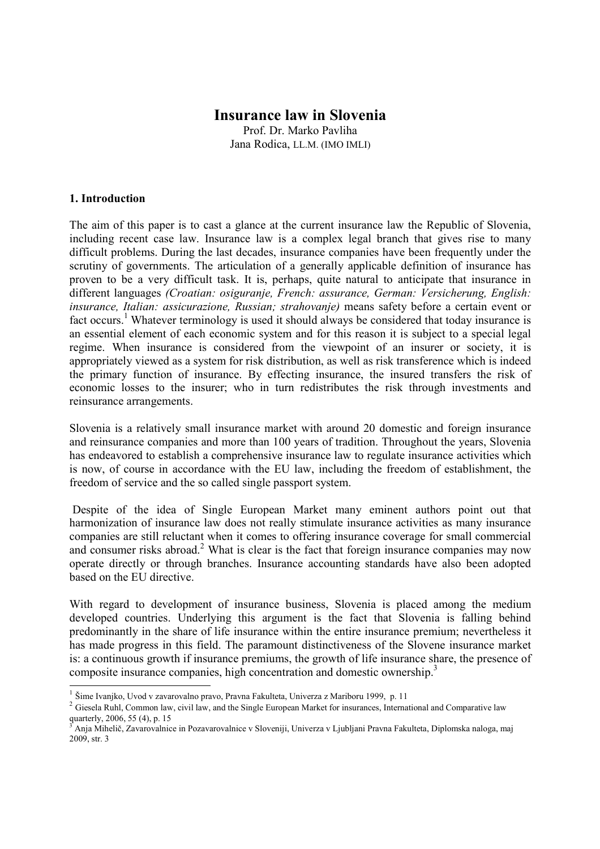# **Insurance law in Slovenia**

Prof. Dr. Marko Pavliha Jana Rodica, LL.M. (IMO IMLI)

#### **1. Introduction**

The aim of this paper is to cast a glance at the current insurance law the Republic of Slovenia, including recent case law. Insurance law is a complex legal branch that gives rise to many difficult problems. During the last decades, insurance companies have been frequently under the scrutiny of governments. The articulation of a generally applicable definition of insurance has proven to be a very difficult task. It is, perhaps, quite natural to anticipate that insurance in different languages *(Croatian: osiguranje, French: assurance, German: Versicherung, English: insurance, Italian: assicurazione, Russian; strahovanje)* means safety before a certain event or fact occurs.<sup>1</sup> Whatever terminology is used it should always be considered that today insurance is an essential element of each economic system and for this reason it is subject to a special legal regime. When insurance is considered from the viewpoint of an insurer or society, it is appropriately viewed as a system for risk distribution, as well as risk transference which is indeed the primary function of insurance. By effecting insurance, the insured transfers the risk of economic losses to the insurer; who in turn redistributes the risk through investments and reinsurance arrangements.

Slovenia is a relatively small insurance market with around 20 domestic and foreign insurance and reinsurance companies and more than 100 years of tradition. Throughout the years, Slovenia has endeavored to establish a comprehensive insurance law to regulate insurance activities which is now, of course in accordance with the EU law, including the freedom of establishment, the freedom of service and the so called single passport system.

 Despite of the idea of Single European Market many eminent authors point out that harmonization of insurance law does not really stimulate insurance activities as many insurance companies are still reluctant when it comes to offering insurance coverage for small commercial and consumer risks abroad.<sup>2</sup> What is clear is the fact that foreign insurance companies may now operate directly or through branches. Insurance accounting standards have also been adopted based on the EU directive.

With regard to development of insurance business, Slovenia is placed among the medium developed countries. Underlying this argument is the fact that Slovenia is falling behind predominantly in the share of life insurance within the entire insurance premium; nevertheless it has made progress in this field. The paramount distinctiveness of the Slovene insurance market is: a continuous growth if insurance premiums, the growth of life insurance share, the presence of composite insurance companies, high concentration and domestic ownership.<sup>3</sup>

 1 Šime Ivanjko, Uvod v zavarovalno pravo, Pravna Fakulteta, Univerza z Mariboru 1999, p. 11

<sup>&</sup>lt;sup>2</sup> Giesela Ruhl, Common law, civil law, and the Single European Market for insurances, International and Comparative law quarterly, 2006, 55  $(4)$ , p. 15<br> $\frac{3}{2}$  Ania Mihelič, Zavarovalnic

Anja Mihelič, Zavarovalnice in Pozavarovalnice v Sloveniji, Univerza v Ljubljani Pravna Fakulteta, Diplomska naloga, maj 2009, str. 3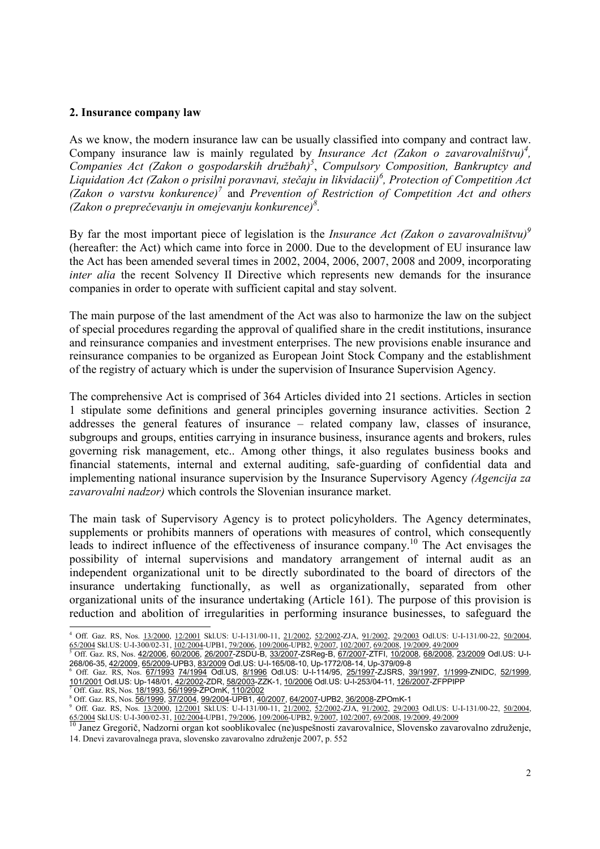#### **2. Insurance company law**

As we know, the modern insurance law can be usually classified into company and contract law. Company insurance law is mainly regulated by *Insurance Act (Zakon o zavarovalništvu)<sup>4</sup> , Companies Act (Zakon o gospodarskih družbah)<sup>5</sup>* , *Compulsory Composition, Bankruptcy and Liquidation Act (Zakon o prisilni poravnavi, stečaju in likvidacii)<sup>6</sup> , Protection of Competition Act (Zakon o varstvu konkurence)<sup>7</sup>* and *Prevention of Restriction of Competition Act and others (Zakon o preprečevanju in omejevanju konkurence)<sup>8</sup> .* 

By far the most important piece of legislation is the *Insurance Act (Zakon o zavarovalništvu)<sup>9</sup>* (hereafter: the Act) which came into force in 2000. Due to the development of EU insurance law the Act has been amended several times in 2002, 2004, 2006, 2007, 2008 and 2009, incorporating *inter alia* the recent Solvency II Directive which represents new demands for the insurance companies in order to operate with sufficient capital and stay solvent.

The main purpose of the last amendment of the Act was also to harmonize the law on the subject of special procedures regarding the approval of qualified share in the credit institutions, insurance and reinsurance companies and investment enterprises. The new provisions enable insurance and reinsurance companies to be organized as European Joint Stock Company and the establishment of the registry of actuary which is under the supervision of Insurance Supervision Agency.

The comprehensive Act is comprised of 364 Articles divided into 21 sections. Articles in section 1 stipulate some definitions and general principles governing insurance activities. Section 2 addresses the general features of insurance – related company law, classes of insurance, subgroups and groups, entities carrying in insurance business, insurance agents and brokers, rules governing risk management, etc.. Among other things, it also regulates business books and financial statements, internal and external auditing, safe-guarding of confidential data and implementing national insurance supervision by the Insurance Supervisory Agency *(Agencija za zavarovalni nadzor)* which controls the Slovenian insurance market.

The main task of Supervisory Agency is to protect policyholders. The Agency determinates, supplements or prohibits manners of operations with measures of control, which consequently leads to indirect influence of the effectiveness of insurance company.<sup>10</sup> The Act envisages the possibility of internal supervisions and mandatory arrangement of internal audit as an independent organizational unit to be directly subordinated to the board of directors of the insurance undertaking functionally, as well as organizationally, separated from other organizational units of the insurance undertaking (Article 161). The purpose of this provision is reduction and abolition of irregularities in performing insurance businesses, to safeguard the

 4 Off. Gaz. RS, Nos. 13/2000, 12/2001 Skl.US: U-I-131/00-11, 21/2002, 52/2002-ZJA, 91/2002, 29/2003 Odl.US: U-I-131/00-22, 50/2004, 65/2004 Skl.US: U-I-300/02-31, 102/2004-UPB1, 79/2006, 109/2006-UPB2, 9/2007, 102/2007, 69/2008, 19/2009, 49/2009

<sup>&</sup>lt;sup>5</sup> Off. Gaz. RS, Nos. <u>42/2006, 60/2006, 26/2007</u>-ZSDU-B, <u>33/2007</u>-ZSReg-B, <u>67/2007</u>-ZTFI, <u>10/2008, 68/2008, 23/2009</u> Odl.US: U-I-268/06-35, 42/2009, 65/2009-UPB3, 83/2009 Odl.US: U-I-165/08-10, Up-1772/08-14, Up-379/09-8

<sup>6</sup> Off. Gaz. RS, Nos. 67/1993 74/1994 Odl.US, 8/1996 Odl.US: U-I-114/95, 25/1997-ZJSRS, 39/1997, 1/1999-ZNIDC, 52/1999, 101/2001 Odl.US: Up-148/01, <u>42/2002</u>-ZDR, <u>58/2003</u>-ZZK-1, <u>10/2006</u> Odl.US: U-I-253/04-11, <u>126/2007</u>-ZFPPIPP<br>7 Off *Gar*, BS, Nes, 18/1093, 56/1099 ZPOmK, 110/2002 Off. Gaz. RS, Nos. 18/1993, 56/1999-ZPOmK, 110/2002

<sup>&</sup>lt;sup>8</sup> Off. Gaz. RS, Nos. 56/1999, 37/2004, 99/2004-UPB1, 40/2007, 64/2007-UPB2, 36/2008-ZPOmK-1

<sup>&</sup>lt;sup>9</sup> Off. Gaz. RS, Nos. <u>13/2000, 12/2001</u> Skl.US: U-I-131/00-11, 21/2002, <u>52/2002</u>-ZJA, 91/2002, 29/2003 Odl.US: U-I-131/00-22, 50/2004,

<sup>&</sup>lt;u>65/2004</u> Skl.US: U-I-300/02-31, <u>102/2004</u>-UPB1, <u>79/2006, 109/2006</u>-UPB2, <u>9/2007, 102/2007, 69/2008, 19/2009, 49/2009</u><br><sup>10</sup> Janez Gregorič, Nadzorni organ kot sooblikovalec (ne)uspešnosti zavarovalnice, Slovensko zavaro 14. Dnevi zavarovalnega prava, slovensko zavarovalno združenje 2007, p. 552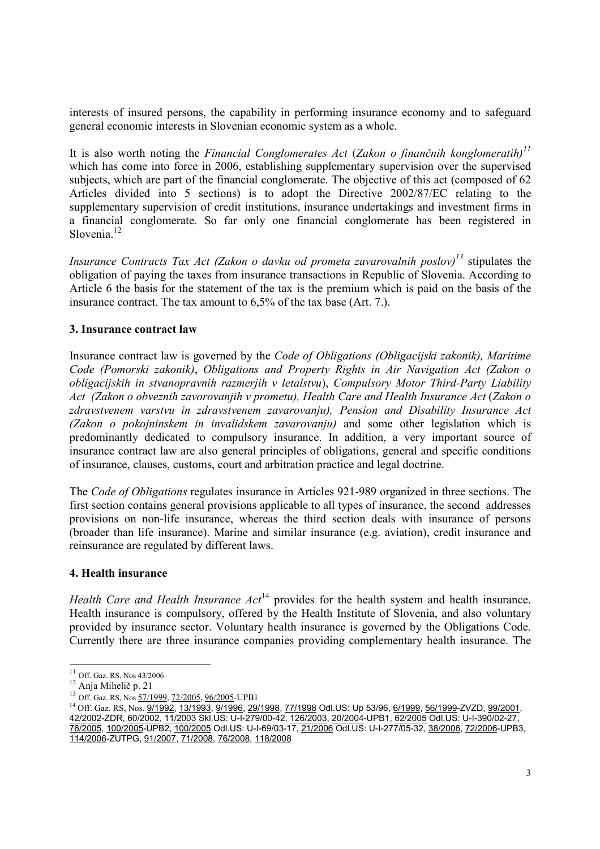interests of insured persons, the capability in performing insurance economy and to safeguard general economic interests in Slovenian economic system as a whole.

It is also worth noting the *Financial Conglomerates Act* (*Zakon o finančnih konglomeratih)<sup>11</sup>* which has come into force in 2006, establishing supplementary supervision over the supervised subjects, which are part of the financial conglomerate. The objective of this act (composed of 62 Articles divided into 5 sections) is to adopt the Directive 2002/87/EC relating to the supplementary supervision of credit institutions, insurance undertakings and investment firms in a financial conglomerate. So far only one financial conglomerate has been registered in Slovenia.<sup>12</sup>

*Insurance Contracts Tax Act (Zakon o davku od prometa zavarovalnih poslov)<sup>13</sup>* stipulates the obligation of paying the taxes from insurance transactions in Republic of Slovenia. According to Article 6 the basis for the statement of the tax is the premium which is paid on the basis of the insurance contract. The tax amount to 6,5% of the tax base (Art. 7.).

#### **3. Insurance contract law**

Insurance contract law is governed by the *Code of Obligations (Obligacijski zakonik), Maritime Code (Pomorski zakonik)*, *Obligations and Property Rights in Air Navigation Act (Zakon o obligacijskih in stvanopravnih razmerjih v letalstvu*), *Compulsory Motor Third-Party Liability Act (Zakon o obveznih zavorovanjih v prometu), Health Care and Health Insurance Act* (*Zakon o zdravstvenem varstvu in zdravstvenem zavarovanju), Pension and Disability Insurance Act (Zakon o pokojninskem in invalidskem zavarovanju)* and some other legislation which is predominantly dedicated to compulsory insurance. In addition, a very important source of insurance contract law are also general principles of obligations, general and specific conditions of insurance, clauses, customs, court and arbitration practice and legal doctrine.

The *Code of Obligations* regulates insurance in Articles 921-989 organized in three sections. The first section contains general provisions applicable to all types of insurance, the second addresses provisions on non-life insurance, whereas the third section deals with insurance of persons (broader than life insurance). Marine and similar insurance (e.g. aviation), credit insurance and reinsurance are regulated by different laws.

# **4. Health insurance**

*Health Care and Health Insurance Act*<sup>14</sup> provides for the health system and health insurance. Health insurance is compulsory, offered by the Health Institute of Slovenia, and also voluntary provided by insurance sector. Voluntary health insurance is governed by the Obligations Code. Currently there are three insurance companies providing complementary health insurance. The

1

 $11$  Off. Gaz. RS, Nos 43/2006

<sup>12</sup> Anja Mihelič p. 21

<sup>13</sup> Off. Gaz. RS, Nos 57/1999, 72/2005, 96/2005-UPB1

<sup>&</sup>lt;sup>14</sup> Off. Gaz. RS, Nos. 9/1992, 13/1993, 9/1996, 29/1998, 77/1998 Odl.US: Up 53/96, 6/1999, 56/1999-ZVZD, 99/2001, 42/2002-ZDR, 60/2002, 11/2003 Skl.US: U-I-279/00-42, 126/2003, 20/2004-UPB1, 62/2005 Odl.US: U-I-390/02-27, 76/2005, 100/2005-UPB2, 100/2005 Odl.US: U-I-69/03-17, 21/2006 Odl.US: U-I-277/05-32, 38/2006, 72/2006-UPB3, 114/2006-ZUTPG, 91/2007, 71/2008, 76/2008, 118/2008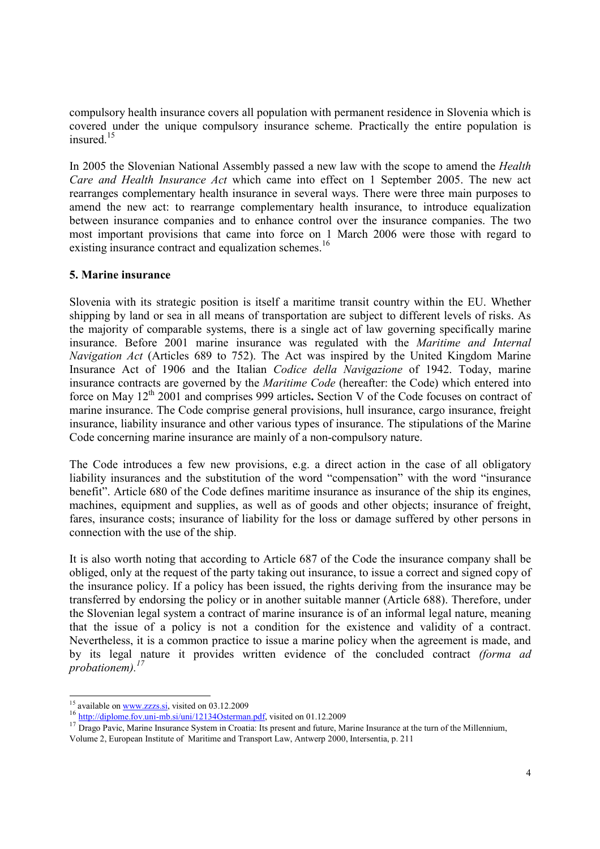compulsory health insurance covers all population with permanent residence in Slovenia which is covered under the unique compulsory insurance scheme. Practically the entire population is insured.<sup>15</sup>

In 2005 the Slovenian National Assembly passed a new law with the scope to amend the *Health Care and Health Insurance Act* which came into effect on 1 September 2005. The new act rearranges complementary health insurance in several ways. There were three main purposes to amend the new act: to rearrange complementary health insurance, to introduce equalization between insurance companies and to enhance control over the insurance companies. The two most important provisions that came into force on 1 March 2006 were those with regard to existing insurance contract and equalization schemes.<sup>16</sup>

# **5. Marine insurance**

Slovenia with its strategic position is itself a maritime transit country within the EU. Whether shipping by land or sea in all means of transportation are subject to different levels of risks. As the majority of comparable systems, there is a single act of law governing specifically marine insurance. Before 2001 marine insurance was regulated with the *Maritime and Internal Navigation Act* (Articles 689 to 752). The Act was inspired by the United Kingdom Marine Insurance Act of 1906 and the Italian *Codice della Navigazione* of 1942. Today, marine insurance contracts are governed by the *Maritime Code* (hereafter: the Code) which entered into force on May 12<sup>th</sup> 2001 and comprises 999 articles. Section V of the Code focuses on contract of marine insurance. The Code comprise general provisions, hull insurance, cargo insurance, freight insurance, liability insurance and other various types of insurance. The stipulations of the Marine Code concerning marine insurance are mainly of a non-compulsory nature.

The Code introduces a few new provisions, e.g. a direct action in the case of all obligatory liability insurances and the substitution of the word "compensation" with the word "insurance benefit". Article 680 of the Code defines maritime insurance as insurance of the ship its engines, machines, equipment and supplies, as well as of goods and other objects; insurance of freight, fares, insurance costs; insurance of liability for the loss or damage suffered by other persons in connection with the use of the ship.

It is also worth noting that according to Article 687 of the Code the insurance company shall be obliged, only at the request of the party taking out insurance, to issue a correct and signed copy of the insurance policy. If a policy has been issued, the rights deriving from the insurance may be transferred by endorsing the policy or in another suitable manner (Article 688). Therefore, under the Slovenian legal system a contract of marine insurance is of an informal legal nature, meaning that the issue of a policy is not a condition for the existence and validity of a contract. Nevertheless, it is a common practice to issue a marine policy when the agreement is made, and by its legal nature it provides written evidence of the concluded contract *(forma ad probationem).<sup>17</sup>*

<sup>1</sup>  $15$  available on <u>www.zzzs.si</u>, visited on 03.12.2009

<sup>&</sup>lt;sup>16</sup> http://diplome.fov.uni-mb.si/uni/12134Osterman.pdf, visited on 01.12.2009

<sup>&</sup>lt;sup>17</sup> Drago Pavic, Marine Insurance System in Croatia: Its present and future, Marine Insurance at the turn of the Millennium,

Volume 2, European Institute of Maritime and Transport Law, Antwerp 2000, Intersentia, p. 211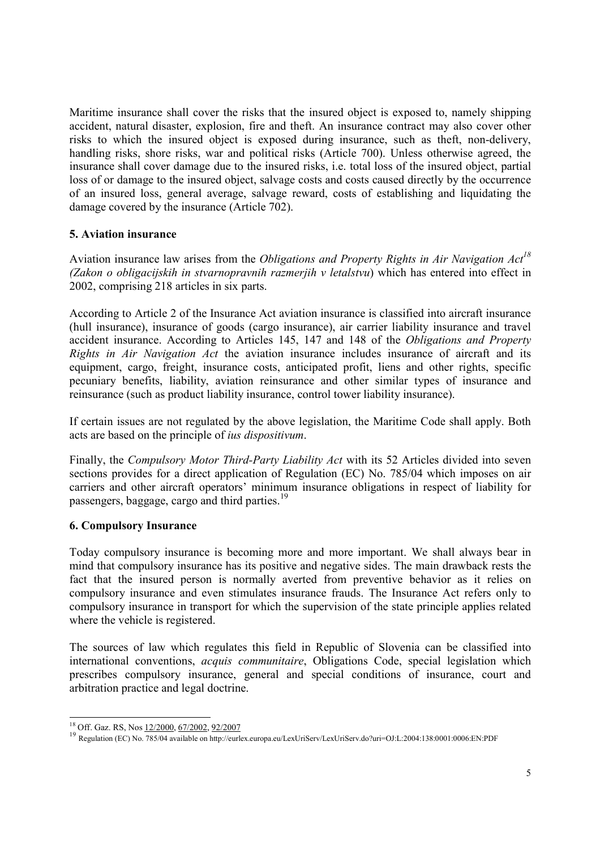Maritime insurance shall cover the risks that the insured object is exposed to, namely shipping accident, natural disaster, explosion, fire and theft. An insurance contract may also cover other risks to which the insured object is exposed during insurance, such as theft, non-delivery, handling risks, shore risks, war and political risks (Article 700). Unless otherwise agreed, the insurance shall cover damage due to the insured risks, i.e. total loss of the insured object, partial loss of or damage to the insured object, salvage costs and costs caused directly by the occurrence of an insured loss, general average, salvage reward, costs of establishing and liquidating the damage covered by the insurance (Article 702).

# **5. Aviation insurance**

Aviation insurance law arises from the *Obligations and Property Rights in Air Navigation Act<sup>18</sup> (Zakon o obligacijskih in stvarnopravnih razmerjih v letalstvu*) which has entered into effect in 2002, comprising 218 articles in six parts.

According to Article 2 of the Insurance Act aviation insurance is classified into aircraft insurance (hull insurance), insurance of goods (cargo insurance), air carrier liability insurance and travel accident insurance. According to Articles 145, 147 and 148 of the *Obligations and Property Rights in Air Navigation Act* the aviation insurance includes insurance of aircraft and its equipment, cargo, freight, insurance costs, anticipated profit, liens and other rights, specific pecuniary benefits, liability, aviation reinsurance and other similar types of insurance and reinsurance (such as product liability insurance, control tower liability insurance).

If certain issues are not regulated by the above legislation, the Maritime Code shall apply. Both acts are based on the principle of *ius dispositivum*.

Finally, the *Compulsory Motor Third-Party Liability Act* with its 52 Articles divided into seven sections provides for a direct application of Regulation (EC) No. 785/04 which imposes on air carriers and other aircraft operators' minimum insurance obligations in respect of liability for passengers, baggage, cargo and third parties.<sup>19</sup>

# **6. Compulsory Insurance**

Today compulsory insurance is becoming more and more important. We shall always bear in mind that compulsory insurance has its positive and negative sides. The main drawback rests the fact that the insured person is normally averted from preventive behavior as it relies on compulsory insurance and even stimulates insurance frauds. The Insurance Act refers only to compulsory insurance in transport for which the supervision of the state principle applies related where the vehicle is registered.

The sources of law which regulates this field in Republic of Slovenia can be classified into international conventions, *acquis communitaire*, Obligations Code, special legislation which prescribes compulsory insurance, general and special conditions of insurance, court and arbitration practice and legal doctrine.

<sup>-</sup><sup>18</sup> Off. Gaz. RS, Nos <u>12/2000, 67/2002, 92/2007</u>

<sup>19</sup> Regulation (EC) No. 785/04 available on http://eurlex.europa.eu/LexUriServ/LexUriServ.do?uri=OJ:L:2004:138:0001:0006:EN:PDF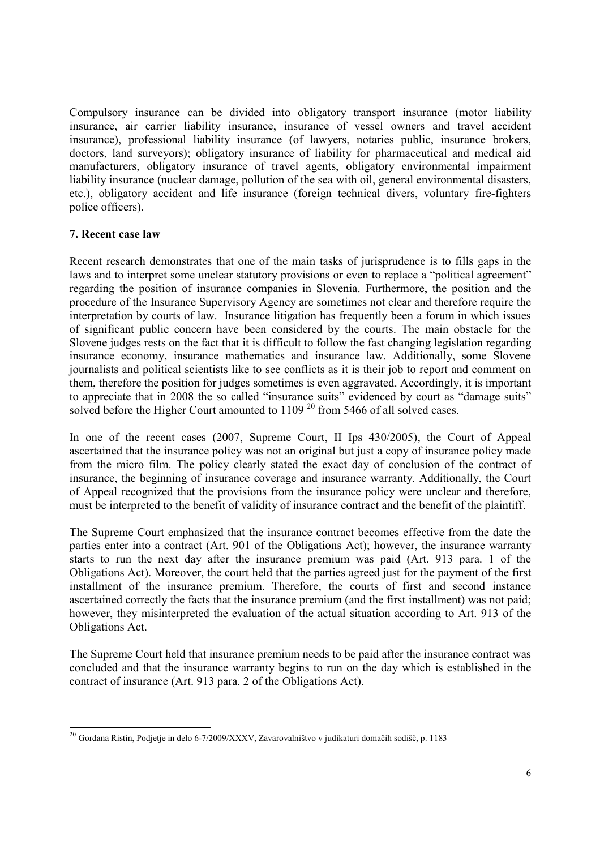Compulsory insurance can be divided into obligatory transport insurance (motor liability insurance, air carrier liability insurance, insurance of vessel owners and travel accident insurance), professional liability insurance (of lawyers, notaries public, insurance brokers, doctors, land surveyors); obligatory insurance of liability for pharmaceutical and medical aid manufacturers, obligatory insurance of travel agents, obligatory environmental impairment liability insurance (nuclear damage, pollution of the sea with oil, general environmental disasters, etc.), obligatory accident and life insurance (foreign technical divers, voluntary fire-fighters police officers).

# **7. Recent case law**

Recent research demonstrates that one of the main tasks of jurisprudence is to fills gaps in the laws and to interpret some unclear statutory provisions or even to replace a "political agreement" regarding the position of insurance companies in Slovenia. Furthermore, the position and the procedure of the Insurance Supervisory Agency are sometimes not clear and therefore require the interpretation by courts of law. Insurance litigation has frequently been a forum in which issues of significant public concern have been considered by the courts. The main obstacle for the Slovene judges rests on the fact that it is difficult to follow the fast changing legislation regarding insurance economy, insurance mathematics and insurance law. Additionally, some Slovene journalists and political scientists like to see conflicts as it is their job to report and comment on them, therefore the position for judges sometimes is even aggravated. Accordingly, it is important to appreciate that in 2008 the so called "insurance suits" evidenced by court as "damage suits" solved before the Higher Court amounted to 1109<sup>20</sup> from 5466 of all solved cases.

In one of the recent cases (2007, Supreme Court, II Ips 430/2005), the Court of Appeal ascertained that the insurance policy was not an original but just a copy of insurance policy made from the micro film. The policy clearly stated the exact day of conclusion of the contract of insurance, the beginning of insurance coverage and insurance warranty. Additionally, the Court of Appeal recognized that the provisions from the insurance policy were unclear and therefore, must be interpreted to the benefit of validity of insurance contract and the benefit of the plaintiff.

The Supreme Court emphasized that the insurance contract becomes effective from the date the parties enter into a contract (Art. 901 of the Obligations Act); however, the insurance warranty starts to run the next day after the insurance premium was paid (Art. 913 para. 1 of the Obligations Act). Moreover, the court held that the parties agreed just for the payment of the first installment of the insurance premium. Therefore, the courts of first and second instance ascertained correctly the facts that the insurance premium (and the first installment) was not paid; however, they misinterpreted the evaluation of the actual situation according to Art. 913 of the Obligations Act.

The Supreme Court held that insurance premium needs to be paid after the insurance contract was concluded and that the insurance warranty begins to run on the day which is established in the contract of insurance (Art. 913 para. 2 of the Obligations Act).

<sup>-</sup> $^{20}$  Gordana Ristin, Podjetje in delo 6-7/2009/XXXV, Zavarovalništvo v judikaturi domačih sodišč, p. 1183